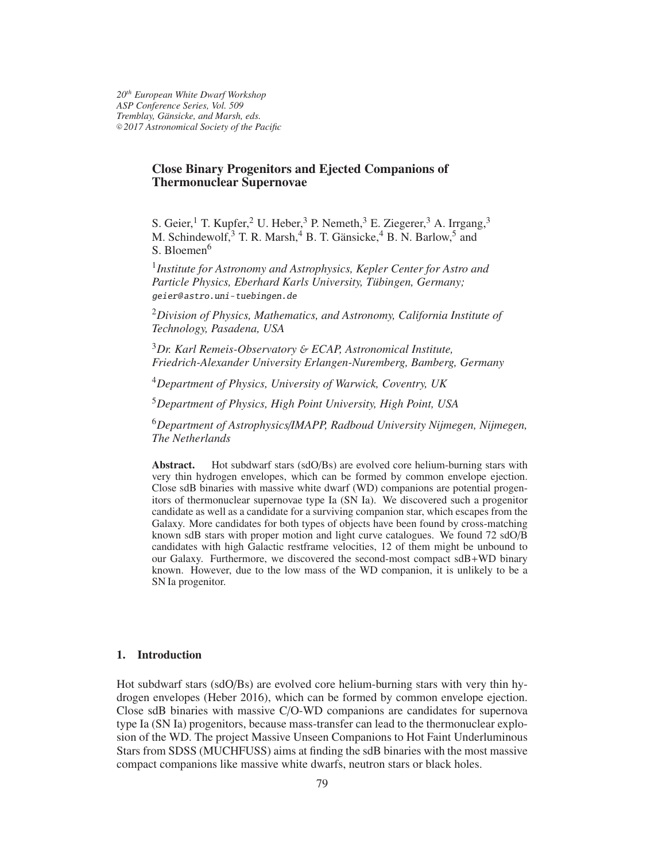# Close Binary Progenitors and Ejected Companions of Thermonuclear Supernovae

S. Geier,<sup>1</sup> T. Kupfer,<sup>2</sup> U. Heber,<sup>3</sup> P. Nemeth,<sup>3</sup> E. Ziegerer,<sup>3</sup> A. Irrgang,<sup>3</sup> M. Schindewolf, <sup>3</sup> T. R. Marsh, <sup>4</sup> B. T. Gänsicke, <sup>4</sup> B. N. Barlow, 5 and S. Bloemen<sup>6</sup>

1 *Institute for Astronomy and Astrophysics, Kepler Center for Astro and Particle Physics, Eberhard Karls University, Tübingen, Germany;* geier@ astro.uni-tuebingen.de

<sup>2</sup>*Division of Physics, Mathematics, and Astronomy, California Institute of Technology, Pasadena, USA*

<sup>3</sup>*Dr. Karl Remeis-Observatory* & *ECAP, Astronomical Institute, Friedrich-Alexander University Erlangen-Nuremberg, Bamberg, Germany*

<sup>4</sup>*Department of Physics, University of Warwick, Coventry, UK*

<sup>5</sup>*Department of Physics, High Point University, High Point, USA*

<sup>6</sup>*Department of Astrophysics*/*IMAPP, Radboud University Nijmegen, Nijmegen, The Netherlands*

Abstract. Hot subdwarf stars (sdO/Bs) are evolved core helium-burning stars with very thin hydrogen envelopes, which can be formed by common envelope ejection. Close sdB binaries with massive white dwarf (WD) companions are potential progenitors of thermonuclear supernovae type Ia (SN Ia). We discovered such a progenitor candidate as well as a candidate for a surviving companion star, which escapes from the Galaxy. More candidates for both types of objects have been found by cross-matching known sdB stars with proper motion and light curve catalogues. We found 72 sdO/B candidates with high Galactic restframe velocities, 12 of them might be unbound to our Galaxy. Furthermore, we discovered the second-most compact sdB+WD binary known. However, due to the low mass of the WD companion, it is unlikely to be a SN Ia progenitor.

#### 1. Introduction

Hot subdwarf stars (sdO/Bs) are evolved core helium-burning stars with very thin hydrogen envelopes (Heber 2016), which can be formed by common envelope ejection. Close sdB binaries with massive C/O-WD companions are candidates for supernova type Ia (SN Ia) progenitors, because mass-transfer can lead to the thermonuclear explosion of the WD. The project Massive Unseen Companions to Hot Faint Underluminous Stars from SDSS (MUCHFUSS) aims at finding the sdB binaries with the most massive compact companions like massive white dwarfs, neutron stars or black holes.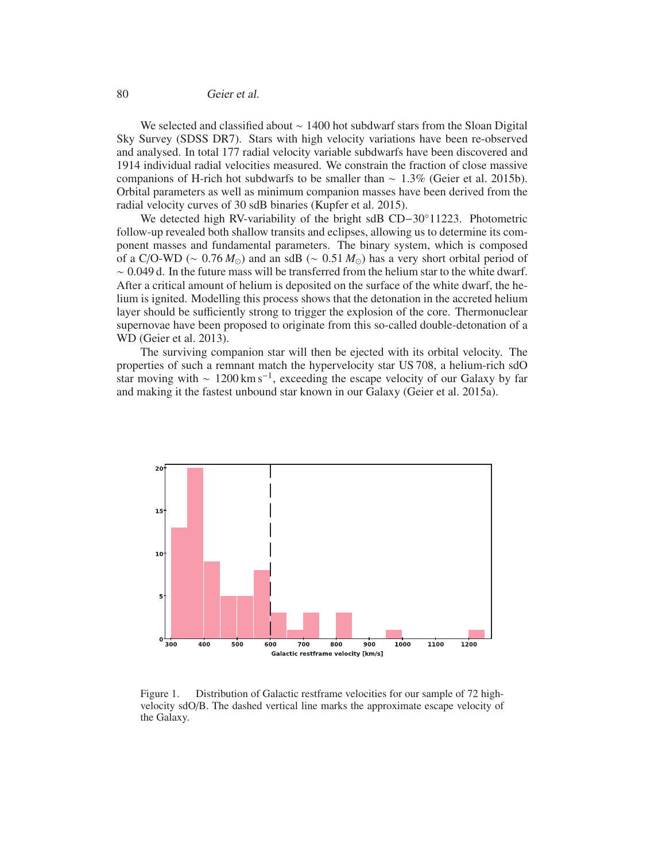#### 80 Geier et al.

We selected and classified about ∼ 1400 hot subdwarf stars from the Sloan Digital Sky Survey (SDSS DR7). Stars with high velocity variations have been re-observed and analysed. In total 177 radial velocity variable subdwarfs have been discovered and 1914 individual radial velocities measured. We constrain the fraction of close massive companions of H-rich hot subdwarfs to be smaller than  $\sim 1.3\%$  (Geier et al. 2015b). Orbital parameters as well as minimum companion masses have been derived from the radial velocity curves of 30 sdB binaries (Kupfer et al. 2015).

We detected high RV-variability of the bright sdB CD−30°11223. Photometric follow-up revealed both shallow transits and eclipses, allowing us to determine its component masses and fundamental parameters. The binary system, which is composed of a C/O-WD (∼ 0.76 *M*⊙) and an sdB (∼ 0.51 *M*⊙) has a very short orbital period of  $\sim$  0.049 d. In the future mass will be transferred from the helium star to the white dwarf. After a critical amount of helium is deposited on the surface of the white dwarf, the helium is ignited. Modelling this process shows that the detonation in the accreted helium layer should be sufficiently strong to trigger the explosion of the core. Thermonuclear supernovae have been proposed to originate from this so-called double-detonation of a WD (Geier et al. 2013).

The surviving companion star will then be ejected with its orbital velocity. The properties of such a remnant match the hypervelocity star US 708, a helium-rich sdO star moving with  $\sim 1200 \text{ km s}^{-1}$ , exceeding the escape velocity of our Galaxy by far and making it the fastest unbound star known in our Galaxy (Geier et al. 2015a).



Figure 1. Distribution of Galactic restframe velocities for our sample of 72 highvelocity sdO/B. The dashed vertical line marks the approximate escape velocity of the Galaxy.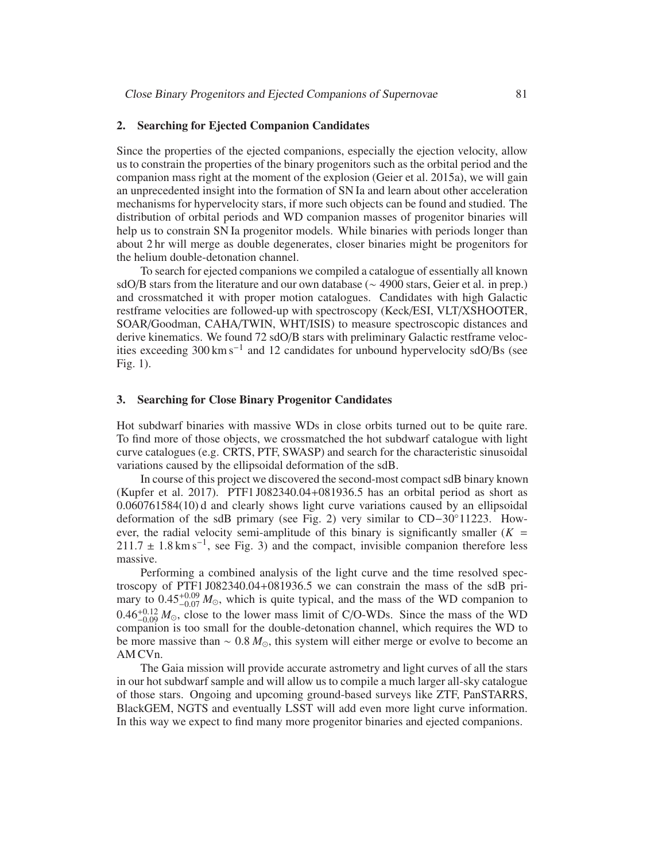#### 2. Searching for Ejected Companion Candidates

Since the properties of the ejected companions, especially the ejection velocity, allow us to constrain the properties of the binary progenitors such as the orbital period and the companion mass right at the moment of the explosion (Geier et al. 2015a), we will gain an unprecedented insight into the formation of SN Ia and learn about other acceleration mechanisms for hypervelocity stars, if more such objects can be found and studied. The distribution of orbital periods and WD companion masses of progenitor binaries will help us to constrain SN Ia progenitor models. While binaries with periods longer than about 2 hr will merge as double degenerates, closer binaries might be progenitors for the helium double-detonation channel.

To search for ejected companions we compiled a catalogue of essentially all known sdO/B stars from the literature and our own database (∼ 4900 stars, Geier et al. in prep.) and crossmatched it with proper motion catalogues. Candidates with high Galactic restframe velocities are followed-up with spectroscopy (Keck/ESI, VLT/XSHOOTER, SOAR/Goodman, CAHA/TWIN, WHT/ISIS) to measure spectroscopic distances and derive kinematics. We found 72 sdO/B stars with preliminary Galactic restframe velocities exceeding 300 km s−<sup>1</sup> and 12 candidates for unbound hypervelocity sdO/Bs (see Fig. 1).

### 3. Searching for Close Binary Progenitor Candidates

Hot subdwarf binaries with massive WDs in close orbits turned out to be quite rare. To find more of those objects, we crossmatched the hot subdwarf catalogue with light curve catalogues (e.g. CRTS, PTF, SWASP) and search for the characteristic sinusoidal variations caused by the ellipsoidal deformation of the sdB.

In course of this project we discovered the second-most compact sdB binary known (Kupfer et al. 2017). PTF1 J082340.04+081936.5 has an orbital period as short as 0.060761584(10) d and clearly shows light curve variations caused by an ellipsoidal deformation of the sdB primary (see Fig. 2) very similar to CD−30◦11223. However, the radial velocity semi-amplitude of this binary is significantly smaller  $(K =$  $211.7 \pm 1.8 \text{ km s}^{-1}$ , see Fig. 3) and the compact, invisible companion therefore less massive.

Performing a combined analysis of the light curve and the time resolved spectroscopy of PTF1 J082340.04+081936.5 we can constrain the mass of the sdB primary to  $0.45_{-0.07}^{+0.09} M_{\odot}$ , which is quite typical, and the mass of the WD companion to  $0.46_{-0.09}^{+0.12} M_{\odot}$ , close to the lower mass limit of C/O-WDs. Since the mass of the WD companion is too small for the double-detonation channel, which requires the WD to be more massive than ∼ 0.8 *M*⊙, this system will either merge or evolve to become an AM CVn.

The Gaia mission will provide accurate astrometry and light curves of all the stars in our hot subdwarf sample and will allow us to compile a much larger all-sky catalogue of those stars. Ongoing and upcoming ground-based surveys like ZTF, PanSTARRS, BlackGEM, NGTS and eventually LSST will add even more light curve information. In this way we expect to find many more progenitor binaries and ejected companions.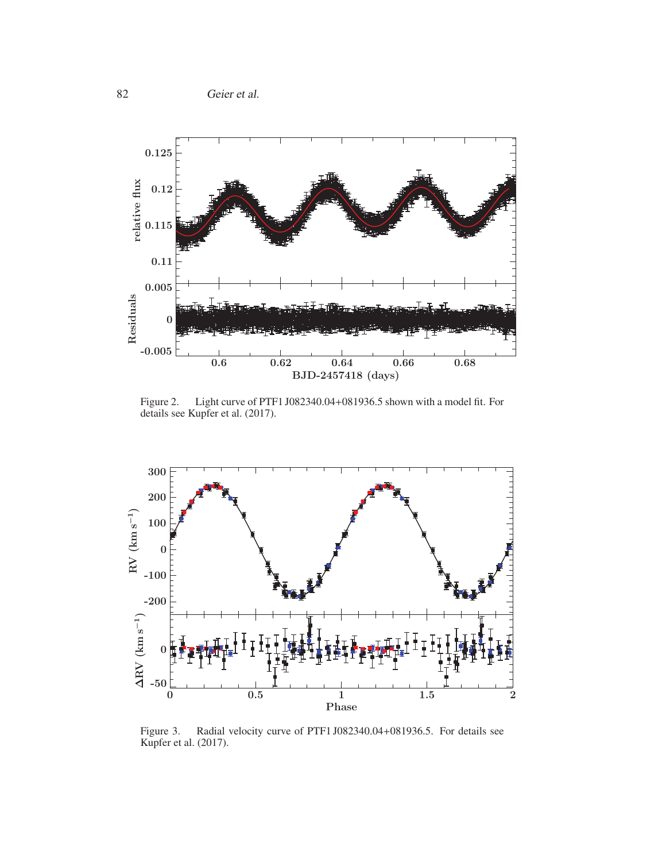

Figure 2. Light curve of PTF1 J082340.04+081936.5 shown with a model fit. For details see Kupfer et al. (2017).



Figure 3. Radial velocity curve of PTF1 J082340.04+081936.5. For details see Kupfer et al. (2017).